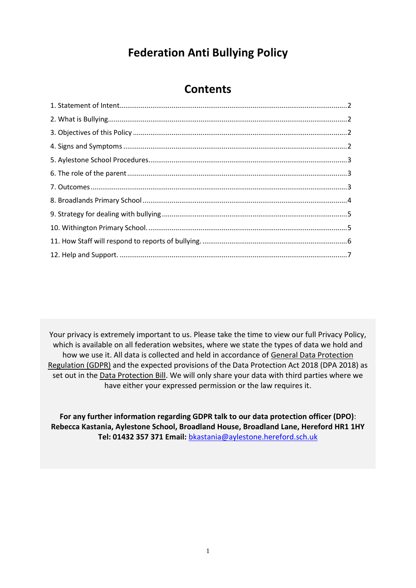## **Federation Anti Bullying Policy**

### **Contents**

Your privacy is extremely important to us. Please take the time to view our full Privacy Policy, which is available on all federation websites, where we state the types of data we hold and how we use it. All data is collected and held in accordance of [General Data Protection](http://data.consilium.europa.eu/doc/document/ST-5419-2016-INIT/en/pdf)  [Regulation \(GDPR\)](http://data.consilium.europa.eu/doc/document/ST-5419-2016-INIT/en/pdf) and the expected provisions of the Data Protection Act 2018 (DPA 2018) as set out in the [Data Protection Bill.](https://publications.parliament.uk/pa/bills/cbill/2017-2019/0153/18153.pdf) We will only share your data with third parties where we have either your expressed permission or the law requires it.

**For any further information regarding GDPR talk to our data protection officer (DPO)**: **Rebecca Kastania, Aylestone School, Broadland House, Broadland Lane, Hereford HR1 1HY Tel: 01432 357 371 Email:** [bkastania@aylestone.hereford.sch.uk](mailto:bkastania@aylestone.hereford.sch.uk)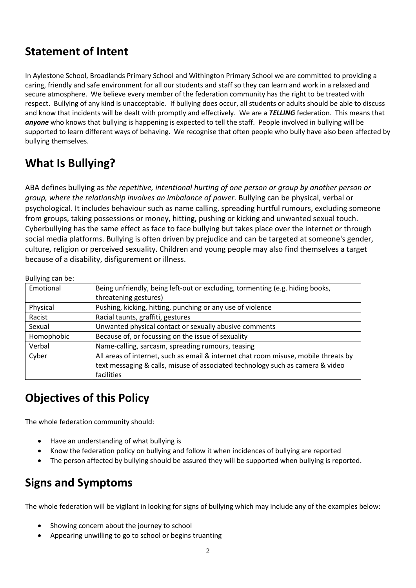## **Statement of Intent**

In Aylestone School, Broadlands Primary School and Withington Primary School we are committed to providing a caring, friendly and safe environment for all our students and staff so they can learn and work in a relaxed and secure atmosphere. We believe every member of the federation community has the right to be treated with respect. Bullying of any kind is unacceptable. If bullying does occur, all students or adults should be able to discuss and know that incidents will be dealt with promptly and effectively. We are a *TELLING* federation. This means that *anyone* who knows that bullying is happening is expected to tell the staff. People involved in bullying will be supported to learn different ways of behaving. We recognise that often people who bully have also been affected by bullying themselves.

## **What Is Bullying?**

ABA defines bullying as *the repetitive, intentional hurting of one person or group by another person or group, where the relationship involves an imbalance of power.* Bullying can be physical, verbal or psychological. It includes behaviour such as name calling, spreading hurtful rumours, excluding someone from groups, taking possessions or money, hitting, pushing or kicking and unwanted sexual touch. Cyberbullying has the same effect as face to face bullying but takes place over the internet or through social media platforms. Bullying is often driven by prejudice and can be targeted at someone's gender, culture, religion or perceived sexuality. Children and young people may also find themselves a target because of a disability, disfigurement or illness.

Bullying can be:

| Emotional  | Being unfriendly, being left-out or excluding, tormenting (e.g. hiding books,       |
|------------|-------------------------------------------------------------------------------------|
|            | threatening gestures)                                                               |
| Physical   | Pushing, kicking, hitting, punching or any use of violence                          |
| Racist     | Racial taunts, graffiti, gestures                                                   |
| Sexual     | Unwanted physical contact or sexually abusive comments                              |
| Homophobic | Because of, or focussing on the issue of sexuality                                  |
| Verbal     | Name-calling, sarcasm, spreading rumours, teasing                                   |
| Cyber      | All areas of internet, such as email & internet chat room misuse, mobile threats by |
|            | text messaging & calls, misuse of associated technology such as camera & video      |
|            | facilities                                                                          |

## **Objectives of this Policy**

The whole federation community should:

- Have an understanding of what bullying is
- Know the federation policy on bullying and follow it when incidences of bullying are reported
- The person affected by bullying should be assured they will be supported when bullying is reported.

## **Signs and Symptoms**

The whole federation will be vigilant in looking for signs of bullying which may include any of the examples below:

- Showing concern about the journey to school
- Appearing unwilling to go to school or begins truanting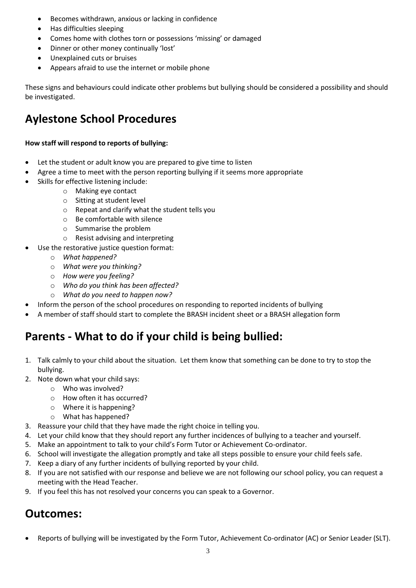- Becomes withdrawn, anxious or lacking in confidence
- Has difficulties sleeping
- Comes home with clothes torn or possessions 'missing' or damaged
- Dinner or other money continually 'lost'
- Unexplained cuts or bruises
- Appears afraid to use the internet or mobile phone

These signs and behaviours could indicate other problems but bullying should be considered a possibility and should be investigated.

## **Aylestone School Procedures**

### **How staff will respond to reports of bullying:**

- Let the student or adult know you are prepared to give time to listen
- Agree a time to meet with the person reporting bullying if it seems more appropriate
	- Skills for effective listening include:
		- o Making eye contact
		- o Sitting at student level
		- o Repeat and clarify what the student tells you
		- o Be comfortable with silence
		- o Summarise the problem
		- o Resist advising and interpreting
- Use the restorative justice question format:
	- o *What happened?*
	- o *What were you thinking?*
	- o *How were you feeling?*
	- o *Who do you think has been affected?*
	- o *What do you need to happen now?*
- Inform the person of the school procedures on responding to reported incidents of bullying
- A member of staff should start to complete the BRASH incident sheet or a BRASH allegation form

## **Parents - What to do if your child is being bullied:**

- 1. Talk calmly to your child about the situation. Let them know that something can be done to try to stop the bullying.
- 2. Note down what your child says:
	- o Who was involved?
	- o How often it has occurred?
	- o Where it is happening?
	- o What has happened?
- 3. Reassure your child that they have made the right choice in telling you.
- 4. Let your child know that they should report any further incidences of bullying to a teacher and yourself.
- 5. Make an appointment to talk to your child's Form Tutor or Achievement Co-ordinator.
- 6. School will investigate the allegation promptly and take all steps possible to ensure your child feels safe.
- 7. Keep a diary of any further incidents of bullying reported by your child.
- 8. If you are not satisfied with our response and believe we are not following our school policy, you can request a meeting with the Head Teacher.
- 9. If you feel this has not resolved your concerns you can speak to a Governor.

## **Outcomes:**

• Reports of bullying will be investigated by the Form Tutor, Achievement Co-ordinator (AC) or Senior Leader (SLT).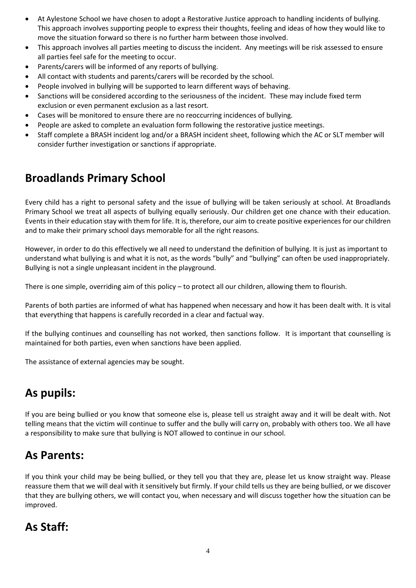- At Aylestone School we have chosen to adopt a Restorative Justice approach to handling incidents of bullying. This approach involves supporting people to express their thoughts, feeling and ideas of how they would like to move the situation forward so there is no further harm between those involved.
- This approach involves all parties meeting to discuss the incident. Any meetings will be risk assessed to ensure all parties feel safe for the meeting to occur.
- Parents/carers will be informed of any reports of bullying.
- All contact with students and parents/carers will be recorded by the school.
- People involved in bullying will be supported to learn different ways of behaving.
- Sanctions will be considered according to the seriousness of the incident. These may include fixed term exclusion or even permanent exclusion as a last resort.
- Cases will be monitored to ensure there are no reoccurring incidences of bullying.
- People are asked to complete an evaluation form following the restorative justice meetings.
- Staff complete a BRASH incident log and/or a BRASH incident sheet, following which the AC or SLT member will consider further investigation or sanctions if appropriate.

## **Broadlands Primary School**

Every child has a right to personal safety and the issue of bullying will be taken seriously at school. At Broadlands Primary School we treat all aspects of bullying equally seriously. Our children get one chance with their education. Events in their education stay with them for life. It is, therefore, our aim to create positive experiences for our children and to make their primary school days memorable for all the right reasons.

However, in order to do this effectively we all need to understand the definition of bullying. It is just as important to understand what bullying is and what it is not, as the words "bully" and "bullying" can often be used inappropriately. Bullying is not a single unpleasant incident in the playground.

There is one simple, overriding aim of this policy – to protect all our children, allowing them to flourish.

Parents of both parties are informed of what has happened when necessary and how it has been dealt with. It is vital that everything that happens is carefully recorded in a clear and factual way.

If the bullying continues and counselling has not worked, then sanctions follow. It is important that counselling is maintained for both parties, even when sanctions have been applied.

The assistance of external agencies may be sought.

## **As pupils:**

If you are being bullied or you know that someone else is, please tell us straight away and it will be dealt with. Not telling means that the victim will continue to suffer and the bully will carry on, probably with others too. We all have a responsibility to make sure that bullying is NOT allowed to continue in our school.

## **As Parents:**

If you think your child may be being bullied, or they tell you that they are, please let us know straight way. Please reassure them that we will deal with it sensitively but firmly. If your child tells us they are being bullied, or we discover that they are bullying others, we will contact you, when necessary and will discuss together how the situation can be improved.

### **As Staff:**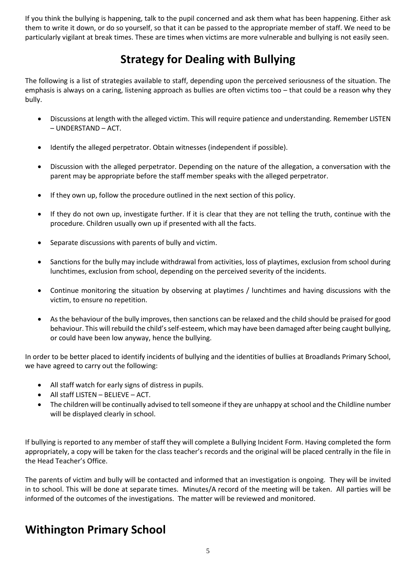If you think the bullying is happening, talk to the pupil concerned and ask them what has been happening. Either ask them to write it down, or do so yourself, so that it can be passed to the appropriate member of staff. We need to be particularly vigilant at break times. These are times when victims are more vulnerable and bullying is not easily seen.

# **Strategy for Dealing with Bullying**

The following is a list of strategies available to staff, depending upon the perceived seriousness of the situation. The emphasis is always on a caring, listening approach as bullies are often victims too – that could be a reason why they bully.

- Discussions at length with the alleged victim. This will require patience and understanding. Remember LISTEN – UNDERSTAND – ACT.
- Identify the alleged perpetrator. Obtain witnesses (independent if possible).
- Discussion with the alleged perpetrator. Depending on the nature of the allegation, a conversation with the parent may be appropriate before the staff member speaks with the alleged perpetrator.
- If they own up, follow the procedure outlined in the next section of this policy.
- If they do not own up, investigate further. If it is clear that they are not telling the truth, continue with the procedure. Children usually own up if presented with all the facts.
- Separate discussions with parents of bully and victim.
- Sanctions for the bully may include withdrawal from activities, loss of playtimes, exclusion from school during lunchtimes, exclusion from school, depending on the perceived severity of the incidents.
- Continue monitoring the situation by observing at playtimes / lunchtimes and having discussions with the victim, to ensure no repetition.
- As the behaviour of the bully improves, then sanctions can be relaxed and the child should be praised for good behaviour. This will rebuild the child's self-esteem, which may have been damaged after being caught bullying, or could have been low anyway, hence the bullying.

In order to be better placed to identify incidents of bullying and the identities of bullies at Broadlands Primary School, we have agreed to carry out the following:

- All staff watch for early signs of distress in pupils.
- All staff LISTEN BELIEVE ACT.
- The children will be continually advised to tell someone if they are unhappy at school and the Childline number will be displayed clearly in school.

If bullying is reported to any member of staff they will complete a Bullying Incident Form. Having completed the form appropriately, a copy will be taken for the class teacher's records and the original will be placed centrally in the file in the Head Teacher's Office.

The parents of victim and bully will be contacted and informed that an investigation is ongoing. They will be invited in to school. This will be done at separate times. Minutes/A record of the meeting will be taken. All parties will be informed of the outcomes of the investigations. The matter will be reviewed and monitored.

## **Withington Primary School**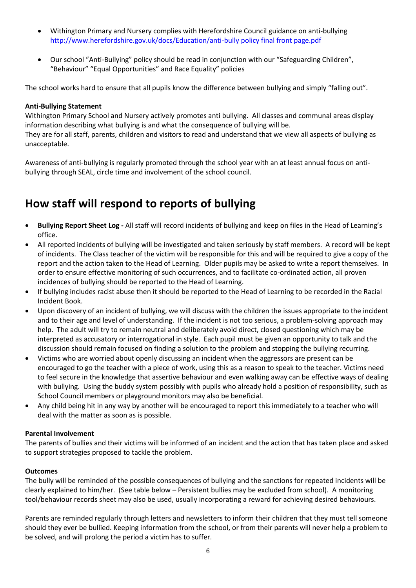- Withington Primary and Nursery complies with Herefordshire Council guidance on anti-bullying [http://www.herefordshire.gov.uk/docs/Education/anti-bully policy final front page.pdf](http://www.herefordshire.gov.uk/docs/Education/anti-bully%20policy%20final%20front%20page.pdf)
- Our school "Anti-Bullying" policy should be read in conjunction with our "Safeguarding Children", "Behaviour" "Equal Opportunities" and Race Equality" policies

The school works hard to ensure that all pupils know the difference between bullying and simply "falling out".

#### **Anti-Bullying Statement**

Withington Primary School and Nursery actively promotes anti bullying. All classes and communal areas display information describing what bullying is and what the consequence of bullying will be. They are for all staff, parents, children and visitors to read and understand that we view all aspects of bullying as unacceptable.

Awareness of anti-bullying is regularly promoted through the school year with an at least annual focus on antibullying through SEAL, circle time and involvement of the school council.

## **How staff will respond to reports of bullying**

- **Bullying Report Sheet Log -** All staff will record incidents of bullying and keep on files in the Head of Learning's office.
- All reported incidents of bullying will be investigated and taken seriously by staff members. A record will be kept of incidents. The Class teacher of the victim will be responsible for this and will be required to give a copy of the report and the action taken to the Head of Learning. Older pupils may be asked to write a report themselves. In order to ensure effective monitoring of such occurrences, and to facilitate co-ordinated action, all proven incidences of bullying should be reported to the Head of Learning.
- If bullying includes racist abuse then it should be reported to the Head of Learning to be recorded in the Racial Incident Book.
- Upon discovery of an incident of bullying, we will discuss with the children the issues appropriate to the incident and to their age and level of understanding. If the incident is not too serious, a problem-solving approach may help. The adult will try to remain neutral and deliberately avoid direct, closed questioning which may be interpreted as accusatory or interrogational in style. Each pupil must be given an opportunity to talk and the discussion should remain focused on finding a solution to the problem and stopping the bullying recurring.
- Victims who are worried about openly discussing an incident when the aggressors are present can be encouraged to go the teacher with a piece of work, using this as a reason to speak to the teacher. Victims need to feel secure in the knowledge that assertive behaviour and even walking away can be effective ways of dealing with bullying. Using the buddy system possibly with pupils who already hold a position of responsibility, such as School Council members or playground monitors may also be beneficial.
- Any child being hit in any way by another will be encouraged to report this immediately to a teacher who will deal with the matter as soon as is possible.

### **Parental Involvement**

The parents of bullies and their victims will be informed of an incident and the action that has taken place and asked to support strategies proposed to tackle the problem.

#### **Outcomes**

The bully will be reminded of the possible consequences of bullying and the sanctions for repeated incidents will be clearly explained to him/her. (See table below – Persistent bullies may be excluded from school). A monitoring tool/behaviour records sheet may also be used, usually incorporating a reward for achieving desired behaviours.

Parents are reminded regularly through letters and newsletters to inform their children that they must tell someone should they ever be bullied. Keeping information from the school, or from their parents will never help a problem to be solved, and will prolong the period a victim has to suffer.